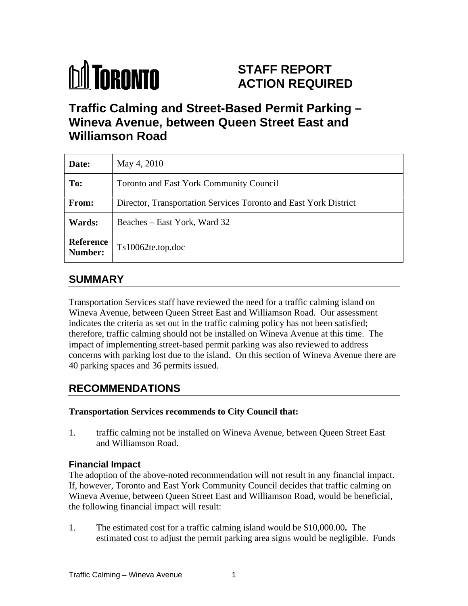# **M** TORONTO

## **STAFF REPORT ACTION REQUIRED**

## **Traffic Calming and Street-Based Permit Parking – Wineva Avenue, between Queen Street East and Williamson Road**

| Date:                | May 4, 2010                                                      |
|----------------------|------------------------------------------------------------------|
| To:                  | Toronto and East York Community Council                          |
| From:                | Director, Transportation Services Toronto and East York District |
| Wards:               | Beaches – East York, Ward 32                                     |
| Reference<br>Number: | Ts10062te.top.doc                                                |

### **SUMMARY**

Transportation Services staff have reviewed the need for a traffic calming island on Wineva Avenue, between Queen Street East and Williamson Road. Our assessment indicates the criteria as set out in the traffic calming policy has not been satisfied; therefore, traffic calming should not be installed on Wineva Avenue at this time. The impact of implementing street-based permit parking was also reviewed to address concerns with parking lost due to the island. On this section of Wineva Avenue there are 40 parking spaces and 36 permits issued.

## **RECOMMENDATIONS**

#### **Transportation Services recommends to City Council that:**

1. traffic calming not be installed on Wineva Avenue, between Queen Street East and Williamson Road.

#### **Financial Impact**

The adoption of the above-noted recommendation will not result in any financial impact. If, however, Toronto and East York Community Council decides that traffic calming on Wineva Avenue, between Queen Street East and Williamson Road, would be beneficial, the following financial impact will result:

1. The estimated cost for a traffic calming island would be \$10,000.00**.** The estimated cost to adjust the permit parking area signs would be negligible. Funds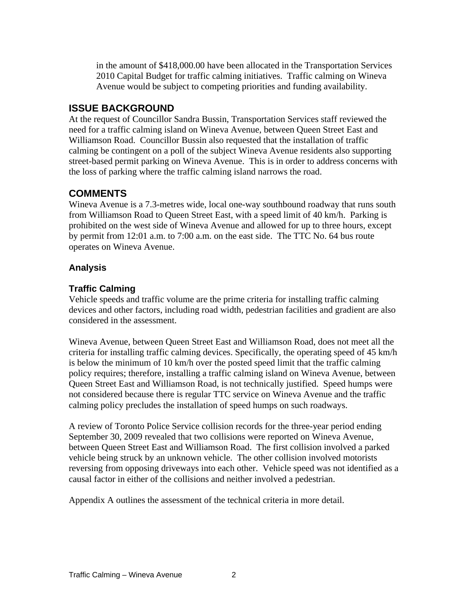in the amount of \$418,000.00 have been allocated in the Transportation Services 2010 Capital Budget for traffic calming initiatives. Traffic calming on Wineva Avenue would be subject to competing priorities and funding availability.

#### **ISSUE BACKGROUND**

At the request of Councillor Sandra Bussin, Transportation Services staff reviewed the need for a traffic calming island on Wineva Avenue, between Queen Street East and Williamson Road. Councillor Bussin also requested that the installation of traffic calming be contingent on a poll of the subject Wineva Avenue residents also supporting street-based permit parking on Wineva Avenue. This is in order to address concerns with the loss of parking where the traffic calming island narrows the road.

#### **COMMENTS**

Wineva Avenue is a 7.3-metres wide, local one-way southbound roadway that runs south from Williamson Road to Queen Street East, with a speed limit of 40 km/h. Parking is prohibited on the west side of Wineva Avenue and allowed for up to three hours, except by permit from 12:01 a.m. to 7:00 a.m. on the east side. The TTC No. 64 bus route operates on Wineva Avenue.

#### **Analysis**

#### **Traffic Calming**

Vehicle speeds and traffic volume are the prime criteria for installing traffic calming devices and other factors, including road width, pedestrian facilities and gradient are also considered in the assessment.

Wineva Avenue, between Queen Street East and Williamson Road, does not meet all the criteria for installing traffic calming devices. Specifically, the operating speed of 45 km/h is below the minimum of 10 km/h over the posted speed limit that the traffic calming policy requires; therefore, installing a traffic calming island on Wineva Avenue, between Queen Street East and Williamson Road, is not technically justified. Speed humps were not considered because there is regular TTC service on Wineva Avenue and the traffic calming policy precludes the installation of speed humps on such roadways.

A review of Toronto Police Service collision records for the three-year period ending September 30, 2009 revealed that two collisions were reported on Wineva Avenue, between Queen Street East and Williamson Road. The first collision involved a parked vehicle being struck by an unknown vehicle. The other collision involved motorists reversing from opposing driveways into each other. Vehicle speed was not identified as a causal factor in either of the collisions and neither involved a pedestrian.

Appendix A outlines the assessment of the technical criteria in more detail.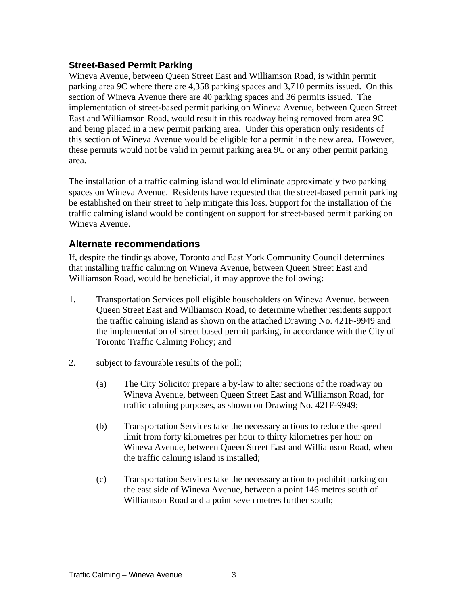#### **Street-Based Permit Parking**

Wineva Avenue, between Queen Street East and Williamson Road, is within permit parking area 9C where there are 4,358 parking spaces and 3,710 permits issued. On this section of Wineva Avenue there are 40 parking spaces and 36 permits issued. The implementation of street-based permit parking on Wineva Avenue, between Queen Street East and Williamson Road, would result in this roadway being removed from area 9C and being placed in a new permit parking area. Under this operation only residents of this section of Wineva Avenue would be eligible for a permit in the new area. However, these permits would not be valid in permit parking area 9C or any other permit parking area.

The installation of a traffic calming island would eliminate approximately two parking spaces on Wineva Avenue. Residents have requested that the street-based permit parking be established on their street to help mitigate this loss. Support for the installation of the traffic calming island would be contingent on support for street-based permit parking on Wineva Avenue.

#### **Alternate recommendations**

If, despite the findings above, Toronto and East York Community Council determines that installing traffic calming on Wineva Avenue, between Queen Street East and Williamson Road, would be beneficial, it may approve the following:

- 1. Transportation Services poll eligible householders on Wineva Avenue, between Queen Street East and Williamson Road, to determine whether residents support the traffic calming island as shown on the attached Drawing No. 421F-9949 and the implementation of street based permit parking, in accordance with the City of Toronto Traffic Calming Policy; and
- 2. subject to favourable results of the poll;
	- (a) The City Solicitor prepare a by-law to alter sections of the roadway on Wineva Avenue, between Queen Street East and Williamson Road, for traffic calming purposes, as shown on Drawing No. 421F-9949;
	- (b) Transportation Services take the necessary actions to reduce the speed limit from forty kilometres per hour to thirty kilometres per hour on Wineva Avenue, between Queen Street East and Williamson Road, when the traffic calming island is installed;
	- (c) Transportation Services take the necessary action to prohibit parking on the east side of Wineva Avenue, between a point 146 metres south of Williamson Road and a point seven metres further south;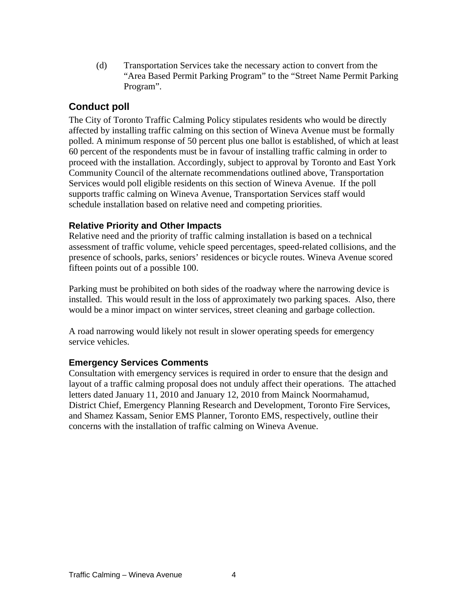(d) Transportation Services take the necessary action to convert from the "Area Based Permit Parking Program" to the "Street Name Permit Parking Program".

#### **Conduct poll**

The City of Toronto Traffic Calming Policy stipulates residents who would be directly affected by installing traffic calming on this section of Wineva Avenue must be formally polled. A minimum response of 50 percent plus one ballot is established, of which at least 60 percent of the respondents must be in favour of installing traffic calming in order to proceed with the installation. Accordingly, subject to approval by Toronto and East York Community Council of the alternate recommendations outlined above, Transportation Services would poll eligible residents on this section of Wineva Avenue. If the poll supports traffic calming on Wineva Avenue, Transportation Services staff would schedule installation based on relative need and competing priorities.

#### **Relative Priority and Other Impacts**

Relative need and the priority of traffic calming installation is based on a technical assessment of traffic volume, vehicle speed percentages, speed-related collisions, and the presence of schools, parks, seniors' residences or bicycle routes. Wineva Avenue scored fifteen points out of a possible 100.

Parking must be prohibited on both sides of the roadway where the narrowing device is installed. This would result in the loss of approximately two parking spaces. Also, there would be a minor impact on winter services, street cleaning and garbage collection.

A road narrowing would likely not result in slower operating speeds for emergency service vehicles.

#### **Emergency Services Comments**

Consultation with emergency services is required in order to ensure that the design and layout of a traffic calming proposal does not unduly affect their operations. The attached letters dated January 11, 2010 and January 12, 2010 from Mainck Noormahamud, District Chief, Emergency Planning Research and Development, Toronto Fire Services, and Shamez Kassam, Senior EMS Planner, Toronto EMS, respectively, outline their concerns with the installation of traffic calming on Wineva Avenue.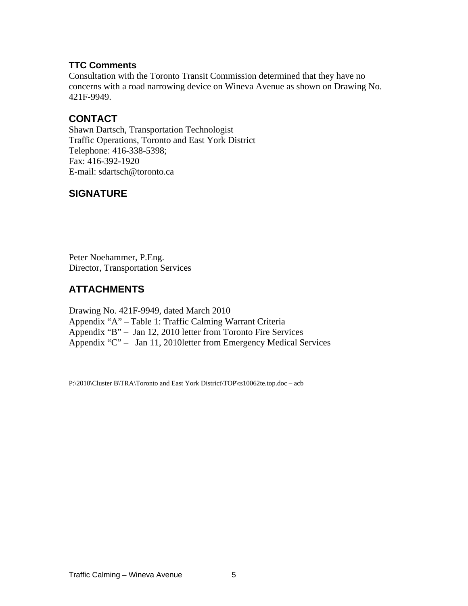#### **TTC Comments**

Consultation with the Toronto Transit Commission determined that they have no concerns with a road narrowing device on Wineva Avenue as shown on Drawing No. 421F-9949.

#### **CONTACT**

Shawn Dartsch, Transportation Technologist Traffic Operations, Toronto and East York District Telephone: 416-338-5398; Fax: 416-392-1920 E-mail: sdartsch@toronto.ca

#### **SIGNATURE**

Peter Noehammer, P.Eng. Director, Transportation Services

#### **ATTACHMENTS**

Drawing No. 421F-9949, dated March 2010 Appendix "A" – Table 1: Traffic Calming Warrant Criteria Appendix "B" – Jan 12, 2010 letter from Toronto Fire Services Appendix "C" – Jan 11, 2010letter from Emergency Medical Services

P:\2010\Cluster B\TRA\Toronto and East York District\TOP\ts10062te.top.doc – acb